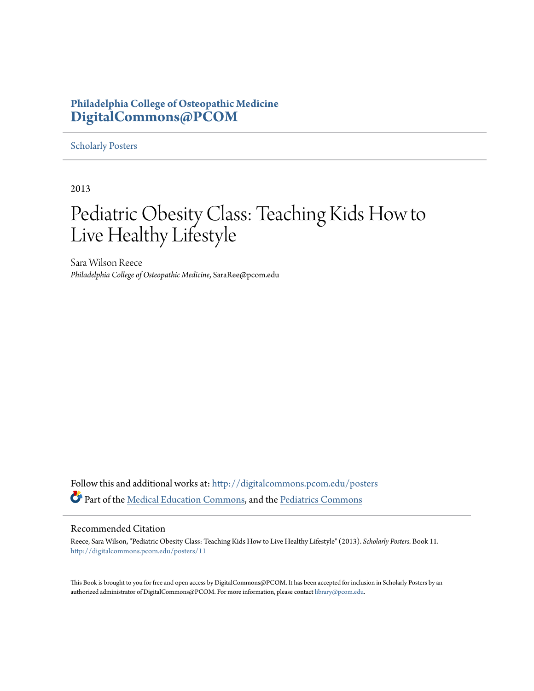#### **Philadelphia College of Osteopathic Medicine [DigitalCommons@PCOM](http://digitalcommons.pcom.edu?utm_source=digitalcommons.pcom.edu%2Fposters%2F11&utm_medium=PDF&utm_campaign=PDFCoverPages)**

#### [Scholarly Posters](http://digitalcommons.pcom.edu/posters?utm_source=digitalcommons.pcom.edu%2Fposters%2F11&utm_medium=PDF&utm_campaign=PDFCoverPages)

2013

#### Pediatric Obesity Class: Teaching Kids How to Live Healthy Lifestyle

Sara Wilson Reece *Philadelphia College of Osteopathic Medicine*, SaraRee@pcom.edu

Follow this and additional works at: [http://digitalcommons.pcom.edu/posters](http://digitalcommons.pcom.edu/posters?utm_source=digitalcommons.pcom.edu%2Fposters%2F11&utm_medium=PDF&utm_campaign=PDFCoverPages) Part of the [Medical Education Commons,](http://network.bepress.com/hgg/discipline/1125?utm_source=digitalcommons.pcom.edu%2Fposters%2F11&utm_medium=PDF&utm_campaign=PDFCoverPages) and the [Pediatrics Commons](http://network.bepress.com/hgg/discipline/700?utm_source=digitalcommons.pcom.edu%2Fposters%2F11&utm_medium=PDF&utm_campaign=PDFCoverPages)

#### Recommended Citation

Reece, Sara Wilson, "Pediatric Obesity Class: Teaching Kids How to Live Healthy Lifestyle" (2013). *Scholarly Posters.* Book 11. [http://digitalcommons.pcom.edu/posters/11](http://digitalcommons.pcom.edu/posters/11?utm_source=digitalcommons.pcom.edu%2Fposters%2F11&utm_medium=PDF&utm_campaign=PDFCoverPages)

This Book is brought to you for free and open access by DigitalCommons@PCOM. It has been accepted for inclusion in Scholarly Posters by an authorized administrator of DigitalCommons@PCOM. For more information, please contact [library@pcom.edu](mailto:library@pcom.edu).